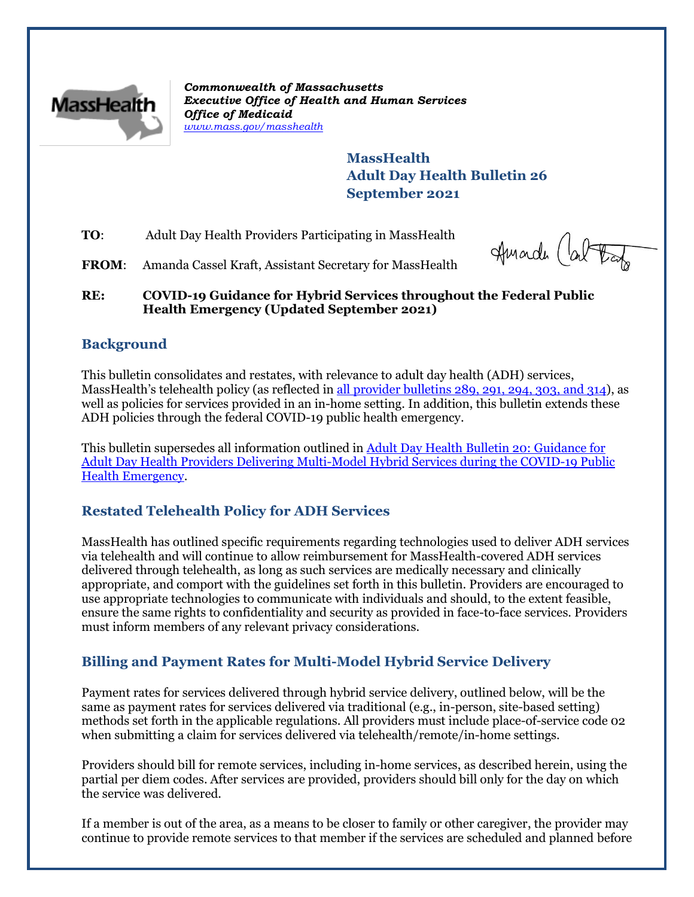

*Commonwealth of Massachusetts Executive Office of Health and Human Services Office of Medicaid [www.mass.gov/masshealth](http://www.mass.gov/masshealth)*

> **MassHealth Adult Day Health Bulletin 26 September 2021**

**TO**: Adult Day Health Providers Participating in MassHealth

Amarch (about

FROM: Amanda Cassel Kraft, Assistant Secretary for MassHealth

**RE: COVID-19 Guidance for Hybrid Services throughout the Federal Public Health Emergency (Updated September 2021)**

## **Background**

This bulletin consolidates and restates, with relevance to adult day health (ADH) services, MassHealth's telehealth policy (as reflected in [all provider bulletins 289, 291, 294, 303, and 314\)](http://www.mass.gov/lists/all-provider-bulletins), as well as policies for services provided in an in-home setting. In addition, this bulletin extends these ADH policies through the federal COVID-19 public health emergency.

This bulletin supersedes all information outlined in [Adult Day Health](https://www.mass.gov/lists/2021-masshealth-provider-bulletins) Bulletin 20: Guidance for [Adult Day Health Providers Delivering Multi-Model Hybrid Services during the COVID-19 Public](https://www.mass.gov/lists/2021-masshealth-provider-bulletins)  [Health Emergency.](https://www.mass.gov/lists/2021-masshealth-provider-bulletins)

# **Restated Telehealth Policy for ADH Services**

MassHealth has outlined specific requirements regarding technologies used to deliver ADH services via telehealth and will continue to allow reimbursement for MassHealth-covered ADH services delivered through telehealth, as long as such services are medically necessary and clinically appropriate, and comport with the guidelines set forth in this bulletin. Providers are encouraged to use appropriate technologies to communicate with individuals and should, to the extent feasible, ensure the same rights to confidentiality and security as provided in face-to-face services. Providers must inform members of any relevant privacy considerations.

# **Billing and Payment Rates for Multi-Model Hybrid Service Delivery**

Payment rates for services delivered through hybrid service delivery, outlined below, will be the same as payment rates for services delivered via traditional (e.g., in-person, site-based setting) methods set forth in the applicable regulations. All providers must include place-of-service code 02 when submitting a claim for services delivered via telehealth/remote/in-home settings.

Providers should bill for remote services, including in-home services, as described herein, using the partial per diem codes. After services are provided, providers should bill only for the day on which the service was delivered.

If a member is out of the area, as a means to be closer to family or other caregiver, the provider may continue to provide remote services to that member if the services are scheduled and planned before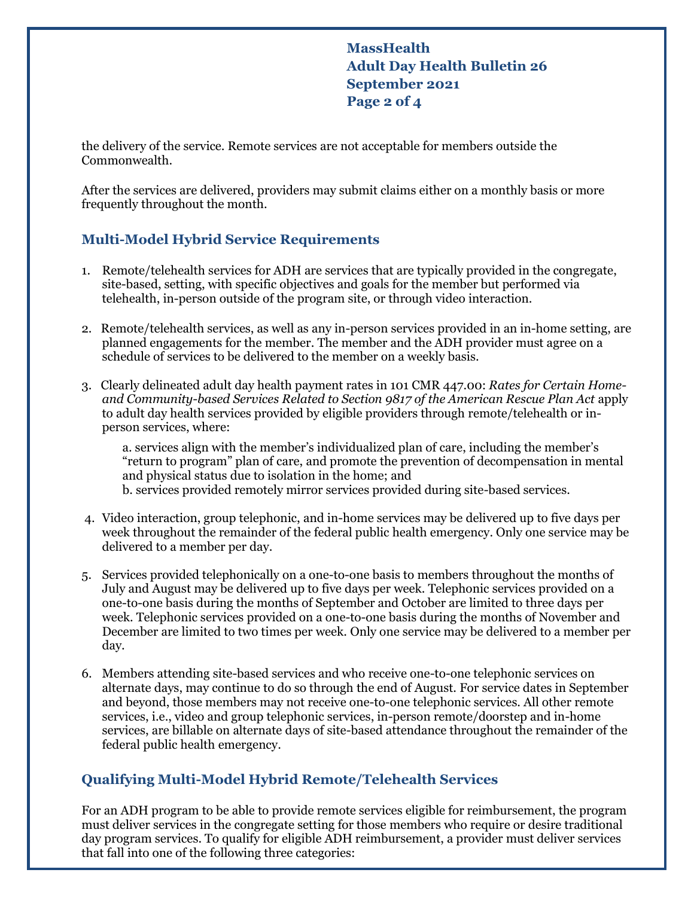**MassHealth Adult Day Health Bulletin 26 September 2021 Page 2 of 4**

the delivery of the service. Remote services are not acceptable for members outside the Commonwealth.

After the services are delivered, providers may submit claims either on a monthly basis or more frequently throughout the month.

### **Multi-Model Hybrid Service Requirements**

- 1. Remote/telehealth services for ADH are services that are typically provided in the congregate, site-based, setting, with specific objectives and goals for the member but performed via telehealth, in-person outside of the program site, or through video interaction.
- 2. Remote/telehealth services, as well as any in-person services provided in an in-home setting, are planned engagements for the member. The member and the ADH provider must agree on a schedule of services to be delivered to the member on a weekly basis.
- 3. Clearly delineated adult day health payment rates in 101 CMR 447.00: *Rates for Certain Homeand Community-based Services Related to Section 9817 of the American Rescue Plan Act* apply to adult day health services provided by eligible providers through remote/telehealth or inperson services, where:

a. services align with the member's individualized plan of care, including the member's "return to program" plan of care, and promote the prevention of decompensation in mental and physical status due to isolation in the home; and b. services provided remotely mirror services provided during site-based services.

- 4. Video interaction, group telephonic, and in-home services may be delivered up to five days per week throughout the remainder of the federal public health emergency. Only one service may be delivered to a member per day.
- 5. Services provided telephonically on a one-to-one basis to members throughout the months of July and August may be delivered up to five days per week. Telephonic services provided on a one-to-one basis during the months of September and October are limited to three days per week. Telephonic services provided on a one-to-one basis during the months of November and December are limited to two times per week. Only one service may be delivered to a member per day.
- 6. Members attending site-based services and who receive one-to-one telephonic services on alternate days, may continue to do so through the end of August. For service dates in September and beyond, those members may not receive one-to-one telephonic services. All other remote services, i.e., video and group telephonic services, in-person remote/doorstep and in-home services, are billable on alternate days of site-based attendance throughout the remainder of the federal public health emergency.

## **Qualifying Multi-Model Hybrid Remote/Telehealth Services**

For an ADH program to be able to provide remote services eligible for reimbursement, the program must deliver services in the congregate setting for those members who require or desire traditional day program services. To qualify for eligible ADH reimbursement, a provider must deliver services that fall into one of the following three categories: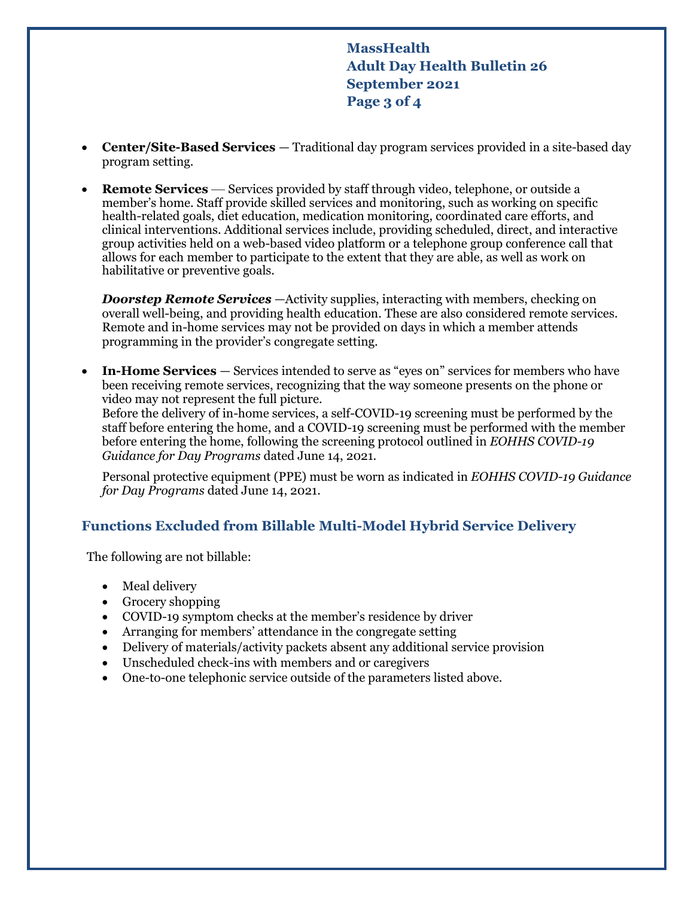**MassHealth Adult Day Health Bulletin 26 September 2021 Page 3 of 4**

- **Center/Site-Based Services** Traditional day program services provided in a site-based day program setting.
- **Remote Services** Services provided by staff through video, telephone, or outside a member's home. Staff provide skilled services and monitoring, such as working on specific health-related goals, diet education, medication monitoring, coordinated care efforts, and clinical interventions. Additional services include, providing scheduled, direct, and interactive group activities held on a web-based video platform or a telephone group conference call that allows for each member to participate to the extent that they are able, as well as work on habilitative or preventive goals.

*Doorstep Remote Services* —Activity supplies, interacting with members, checking on overall well-being, and providing health education. These are also considered remote services. Remote and in-home services may not be provided on days in which a member attends programming in the provider's congregate setting.

 **In-Home Services** — Services intended to serve as "eyes on" services for members who have been receiving remote services, recognizing that the way someone presents on the phone or video may not represent the full picture. Before the delivery of in-home services, a self-COVID-19 screening must be performed by the staff before entering the home, and a COVID-19 screening must be performed with the member before entering the home, following the screening protocol outlined in *EOHHS COVID-19 Guidance for Day Programs* dated June 14, 2021.

Personal protective equipment (PPE) must be worn as indicated in *EOHHS COVID-19 Guidance for Day Programs* dated June 14, 2021.

## **Functions Excluded from Billable Multi-Model Hybrid Service Delivery**

The following are not billable:

- Meal delivery
- Grocery shopping
- COVID-19 symptom checks at the member's residence by driver
- Arranging for members' attendance in the congregate setting
- Delivery of materials/activity packets absent any additional service provision
- Unscheduled check-ins with members and or caregivers
- One-to-one telephonic service outside of the parameters listed above.